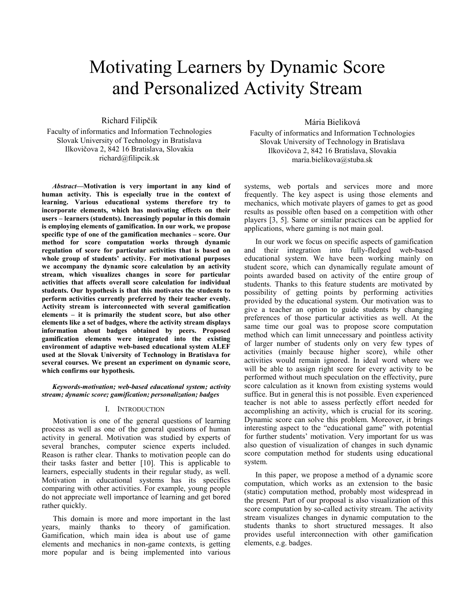# Motivating Learners by Dynamic Score and Personalized Activity Stream

Richard Filipčík

Faculty of informatics and Information Technologies Slovak University of Technology in Bratislava Ilkovičova 2, 842 16 Bratislava, Slovakia richard@filipcik.sk

*Abstract***—Motivation is very important in any kind of human activity. This is especially true in the context of learning. Various educational systems therefore try to incorporate elements, which has motivating effects on their users – learners (students). Increasingly popular in this domain is employing elements of gamification. In our work, we propose specific type of one of the gamification mechanics – score. Our method for score computation works through dynamic regulation of score for particular activities that is based on whole group of students' activity. For motivational purposes we accompany the dynamic score calculation by an activity stream, which visualizes changes in score for particular activities that affects overall score calculation for individual students. Our hypothesis is that this motivates the students to perform activities currently preferred by their teacher evenly. Activity stream is interconnected with several gamification elements – it is primarily the student score, but also other elements like a set of badges, where the activity stream displays information about badges obtained by peers. Proposed gamification elements were integrated into the existing environment of adaptive web-based educational system ALEF used at the Slovak University of Technology in Bratislava for several courses. We present an experiment on dynamic score, which confirms our hypothesis.** 

## *Keywords-motivation; web-based educational system; activity stream; dynamic score; gamification; personalization; badges*

## I. INTRODUCTION

Motivation is one of the general questions of learning process as well as one of the general questions of human activity in general. Motivation was studied by experts of several branches, computer science experts included. Reason is rather clear. Thanks to motivation people can do their tasks faster and better [10]. This is applicable to learners, especially students in their regular study, as well. Motivation in educational systems has its specifics comparing with other activities. For example, young people do not appreciate well importance of learning and get bored rather quickly.

This domain is more and more important in the last years, mainly thanks to theory of gamification. Gamification, which main idea is about use of game elements and mechanics in non-game contexts, is getting more popular and is being implemented into various

Mária Bieliková

Faculty of informatics and Information Technologies Slovak University of Technology in Bratislava Ilkovičova 2, 842 16 Bratislava, Slovakia maria.bielikova@stuba.sk

systems, web portals and services more and more frequently. The key aspect is using those elements and mechanics, which motivate players of games to get as good results as possible often based on a competition with other players [3, 5]. Same or similar practices can be applied for applications, where gaming is not main goal.

In our work we focus on specific aspects of gamification and their integration into fully-fledged web-based educational system. We have been working mainly on student score, which can dynamically regulate amount of points awarded based on activity of the entire group of students. Thanks to this feature students are motivated by possibility of getting points by performing activities provided by the educational system. Our motivation was to give a teacher an option to guide students by changing preferences of those particular activities as well. At the same time our goal was to propose score computation method which can limit unnecessary and pointless activity of larger number of students only on very few types of activities (mainly because higher score), while other activities would remain ignored. In ideal word where we will be able to assign right score for every activity to be performed without much speculation on the effectivity, pure score calculation as it known from existing systems would suffice. But in general this is not possible. Even experienced teacher is not able to assess perfectly effort needed for accomplishing an activity, which is crucial for its scoring. Dynamic score can solve this problem. Moreover, it brings interesting aspect to the "educational game" with potential for further students' motivation. Very important for us was also question of visualization of changes in such dynamic score computation method for students using educational system.

In this paper, we propose a method of a dynamic score computation, which works as an extension to the basic (static) computation method, probably most widespread in the present. Part of our proposal is also visualization of this score computation by so-called activity stream. The activity stream visualizes changes in dynamic computation to the students thanks to short structured messages. It also provides useful interconnection with other gamification elements, e.g. badges.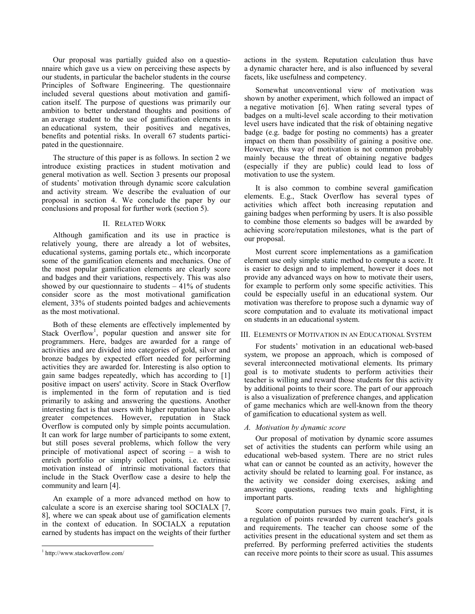Our proposal was partially guided also on a questionnaire which gave us a view on perceiving these aspects by our students, in particular the bachelor students in the course Principles of Software Engineering. The questionnaire included several questions about motivation and gamification itself. The purpose of questions was primarily our ambition to better understand thoughts and positions of an average student to the use of gamification elements in an educational system, their positives and negatives, benefits and potential risks. In overall 67 students participated in the questionnaire.

The structure of this paper is as follows. In section 2 we introduce existing practices in student motivation and general motivation as well. Section 3 presents our proposal of students' motivation through dynamic score calculation and activity stream. We describe the evaluation of our proposal in section 4. We conclude the paper by our conclusions and proposal for further work (section 5).

# II. RELATED WORK

Although gamification and its use in practice is relatively young, there are already a lot of websites, educational systems, gaming portals etc., which incorporate some of the gamification elements and mechanics. One of the most popular gamification elements are clearly score and badges and their variations, respectively. This was also showed by our questionnaire to students  $-41\%$  of students consider score as the most motivational gamification element, 33% of students pointed badges and achievements as the most motivational.

Both of these elements are effectively implemented by Stack Overflow<sup>1</sup>, popular question and answer site for programmers. Here, badges are awarded for a range of activities and are divided into categories of gold, silver and bronze badges by expected effort needed for performing activities they are awarded for. Interesting is also option to gain same badges repeatedly, which has according to [1] positive impact on users' activity. Score in Stack Overflow is implemented in the form of reputation and is tied primarily to asking and answering the questions. Another interesting fact is that users with higher reputation have also greater competences. However, reputation in Stack Overflow is computed only by simple points accumulation. It can work for large number of participants to some extent, but still poses several problems, which follow the very principle of motivational aspect of scoring – a wish to enrich portfolio or simply collect points, i.e. extrinsic motivation instead of intrinsic motivational factors that include in the Stack Overflow case a desire to help the community and learn [4].

An example of a more advanced method on how to calculate a score is an exercise sharing tool SOCIALX [7, 8], where we can speak about use of gamification elements in the context of education. In SOCIALX a reputation earned by students has impact on the weights of their further

l

actions in the system. Reputation calculation thus have a dynamic character here, and is also influenced by several facets, like usefulness and competency.

Somewhat unconventional view of motivation was shown by another experiment, which followed an impact of a negative motivation [6]. When rating several types of badges on a multi-level scale according to their motivation level users have indicated that the risk of obtaining negative badge (e.g. badge for posting no comments) has a greater impact on them than possibility of gaining a positive one. However, this way of motivation is not common probably mainly because the threat of obtaining negative badges (especially if they are public) could lead to loss of motivation to use the system.

It is also common to combine several gamification elements. E.g., Stack Overflow has several types of activities which affect both increasing reputation and gaining badges when performing by users. It is also possible to combine those elements so badges will be awarded by achieving score/reputation milestones, what is the part of our proposal.

Most current score implementations as a gamification element use only simple static method to compute a score. It is easier to design and to implement, however it does not provide any advanced ways on how to motivate their users, for example to perform only some specific activities. This could be especially useful in an educational system. Our motivation was therefore to propose such a dynamic way of score computation and to evaluate its motivational impact on students in an educational system.

# III. ELEMENTS OF MOTIVATION IN AN EDUCATIONAL SYSTEM

For students' motivation in an educational web-based system, we propose an approach, which is composed of several interconnected motivational elements. Its primary goal is to motivate students to perform activities their teacher is willing and reward those students for this activity by additional points to their score. The part of our approach is also a visualization of preference changes, and application of game mechanics which are well-known from the theory of gamification to educational system as well.

# *A. Motivation by dynamic score*

Our proposal of motivation by dynamic score assumes set of activities the students can perform while using an educational web-based system. There are no strict rules what can or cannot be counted as an activity, however the activity should be related to learning goal. For instance, as the activity we consider doing exercises, asking and answering questions, reading texts and highlighting important parts.

Score computation pursues two main goals. First, it is a regulation of points rewarded by current teacher's goals and requirements. The teacher can choose some of the activities present in the educational system and set them as preferred. By performing preferred activities the students can receive more points to their score as usual. This assumes

<sup>1</sup> http://www.stackoverflow.com/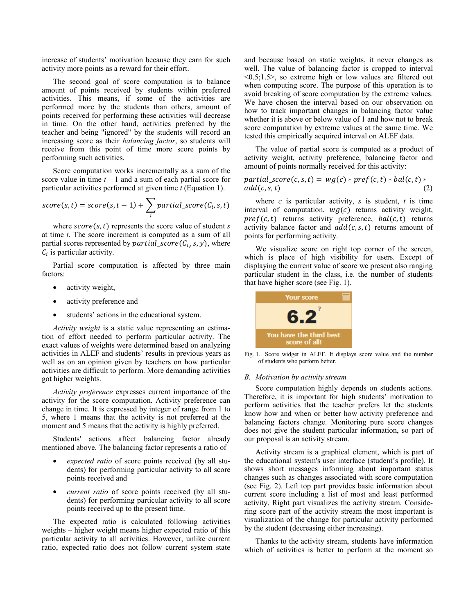increase of students' motivation because they earn for such activity more points as a reward for their effort.

The second goal of score computation is to balance amount of points received by students within preferred activities. This means, if some of the activities are performed more by the students than others, amount of points received for performing these activities will decrease in time. On the other hand, activities preferred by the teacher and being "ignored" by the students will record an increasing score as their *balancing factor*, so students will receive from this point of time more score points by performing such activities.

Score computation works incrementally as a sum of the score value in time  $t - 1$  and a sum of each partial score for particular activities performed at given time *t* (Equation 1).

$$
score(s,t) = score(s,t-1) + \sum_{i} partial\_score(C_i, s, t)
$$

where  $score(s, t)$  represents the score value of student *s* at time *t*. The score increment is computed as a sum of all partial scores represented by *partial\_score*( $C_i$ , *s*, *y*), where  $C_i$  is particular activity.

Partial score computation is affected by three main factors:

- activity weight,
- activity preference and
- students' actions in the educational system.

*Activity weight* is a static value representing an estimation of effort needed to perform particular activity. The exact values of weights were determined based on analyzing activities in ALEF and students' results in previous years as well as on an opinion given by teachers on how particular activities are difficult to perform. More demanding activities got higher weights.

*Activity preference* expresses current importance of the activity for the score computation. Activity preference can change in time. It is expressed by integer of range from 1 to 5, where 1 means that the activity is not preferred at the moment and 5 means that the activity is highly preferred.

Students' actions affect balancing factor already mentioned above. The balancing factor represents a ratio of

- *expected ratio* of score points received (by all students) for performing particular activity to all score points received and
- *current ratio* of score points received (by all students) for performing particular activity to all score points received up to the present time.

The expected ratio is calculated following activities weights – higher weight means higher expected ratio of this particular activity to all activities. However, unlike current ratio, expected ratio does not follow current system state and because based on static weights, it never changes as well. The value of balancing factor is cropped to interval  $\leq 0.5$ ; 1.5>, so extreme high or low values are filtered out when computing score. The purpose of this operation is to avoid breaking of score computation by the extreme values. We have chosen the interval based on our observation on how to track important changes in balancing factor value whether it is above or below value of 1 and how not to break score computation by extreme values at the same time. We tested this empirically acquired interval on ALEF data.

The value of partial score is computed as a product of activity weight, activity preference, balancing factor and amount of points normally received for this activity:

$$
partial\_score(c, s, t) = wg(c) * pref(c, t) * bal(c, t) * add(c, s, t)
$$
\n(2)

where *c* is particular activity, *s* is student, *t* is time interval of computation,  $wg(c)$  returns activity weight,  $pref(c,t)$  returns activity preference,  $bal(c,t)$  returns activity balance factor and  $add(c, s, t)$  returns amount of points for performing activity.

We visualize score on right top corner of the screen, which is place of high visibility for users. Except of displaying the current value of score we present also ranging particular student in the class, i.e. the number of students that have higher score (see Fig. 1).



Fig. 1. Score widget in ALEF. It displays score value and the number of students who perform better.

#### *B. Motivation by activity stream*

Score computation highly depends on students actions. Therefore, it is important for high students' motivation to perform activities that the teacher prefers let the students know how and when or better how activity preference and balancing factors change. Monitoring pure score changes does not give the student particular information, so part of our proposal is an activity stream.

Activity stream is a graphical element, which is part of the educational system's user interface (student's profile). It shows short messages informing about important status changes such as changes associated with score computation (see Fig. 2). Left top part provides basic information about current score including a list of most and least performed activity. Right part visualizes the activity stream. Considering score part of the activity stream the most important is visualization of the change for particular activity performed by the student (decreasing either increasing).

Thanks to the activity stream, students have information which of activities is better to perform at the moment so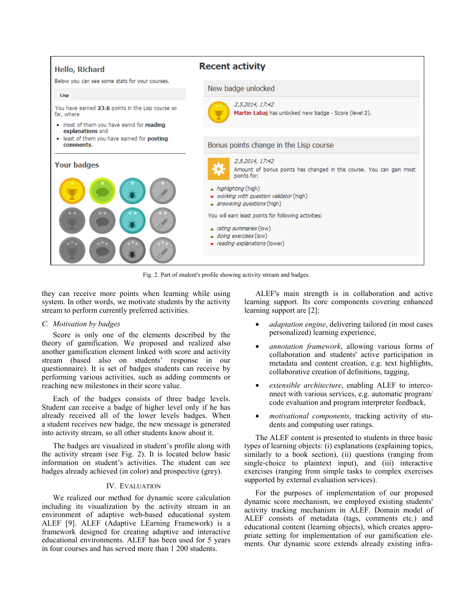

Fig. 2. Part of student's profile showing activity stream and badges.

they can receive more points when learning while using system. In other words, we motivate students by the activity stream to perform currently preferred activities.

# *C. Motivation by badges*

Score is only one of the elements described by the theory of gamification. We proposed and realized also another gamification element linked with score and activity stream (based also on students' response in our questionnaire). It is set of badges students can receive by performing various activities, such as adding comments or reaching new milestones in their score value.

Each of the badges consists of three badge levels. Student can receive a badge of higher level only if he has already received all of the lower levels badges. When a student receives new badge, the new message is generated into activity stream, so all other students know about it.

The badges are visualized in student's profile along with the activity stream (see Fig. 2). It is located below basic information on student's activities. The student can see badges already achieved (in color) and prospective (grey).

# IV. EVALUATION

We realized our method for dynamic score calculation including its visualization by the activity stream in an environment of adaptive web-based educational system ALEF [9]. ALEF (Adaptive LEarning Framework) is a framework designed for creating adaptive and interactive educational environments. ALEF has been used for 5 years in four courses and has served more than 1 200 students.

ALEF's main strength is in collaboration and active learning support. Its core components covering enhanced learning support are [2]:

- *adaptation engine*, delivering tailored (in most cases personalized) learning experience,
- *annotation framework*, allowing various forms of collaboration and students' active participation in metadata and content creation, e.g. text highlights, collaborative creation of definitions, tagging,
- *extensible architecture*, enabling ALEF to interconnect with various services, e.g. automatic program/ code evaluation and program interpreter feedback,
- *motivational components*, tracking activity of students and computing user ratings.

The ALEF content is presented to students in three basic types of learning objects: (i) explanations (explaining topics, similarly to a book section), (ii) questions (ranging from single-choice to plaintext input), and (iii) interactive exercises (ranging from simple tasks to complex exercises supported by external evaluation services).

For the purposes of implementation of our proposed dynamic score mechanism, we employed existing students' activity tracking mechanism in ALEF. Domain model of ALEF consists of metadata (tags, comments etc.) and educational content (learning objects), which creates appropriate setting for implementation of our gamification elements. Our dynamic score extends already existing infra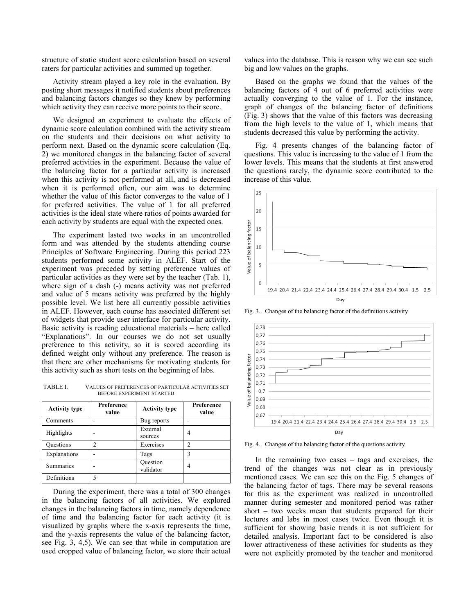structure of static student score calculation based on several raters for particular activities and summed up together.

Activity stream played a key role in the evaluation. By posting short messages it notified students about preferences and balancing factors changes so they knew by performing which activity they can receive more points to their score.

We designed an experiment to evaluate the effects of dynamic score calculation combined with the activity stream on the students and their decisions on what activity to perform next. Based on the dynamic score calculation (Eq. 2) we monitored changes in the balancing factor of several preferred activities in the experiment. Because the value of the balancing factor for a particular activity is increased when this activity is not performed at all, and is decreased when it is performed often, our aim was to determine whether the value of this factor converges to the value of 1 for preferred activities. The value of 1 for all preferred activities is the ideal state where ratios of points awarded for each activity by students are equal with the expected ones.

The experiment lasted two weeks in an uncontrolled form and was attended by the students attending course Principles of Software Engineering. During this period 223 students performed some activity in ALEF. Start of the experiment was preceded by setting preference values of particular activities as they were set by the teacher (Tab. 1), where sign of a dash (-) means activity was not preferred and value of 5 means activity was preferred by the highly possible level. We list here all currently possible activities in ALEF. However, each course has associated different set of widgets that provide user interface for particular activity. Basic activity is reading educational materials – here called "Explanations". In our courses we do not set usually preference to this activity, so it is scored according its defined weight only without any preference. The reason is that there are other mechanisms for motivating students for this activity such as short tests on the beginning of labs.

TABLE I. VALUES OF PREFERENCES OF PARTICULAR ACTIVITIES SET BEFORE EXPERIMENT STARTED

| <b>Activity type</b> | Preference<br>value | <b>Activity type</b>  | Preference<br>value |
|----------------------|---------------------|-----------------------|---------------------|
| Comments             |                     | Bug reports           |                     |
| Highlights           |                     | External<br>sources   | 4                   |
| Ouestions            | っ                   | Exercises             | 2                   |
| Explanations         |                     | Tags                  | 3                   |
| Summaries            |                     | Question<br>validator | 4                   |
| Definitions          |                     |                       |                     |

During the experiment, there was a total of 300 changes in the balancing factors of all activities. We explored changes in the balancing factors in time, namely dependence of time and the balancing factor for each activity (it is visualized by graphs where the x-axis represents the time, and the y-axis represents the value of the balancing factor, see Fig. 3, 4,5). We can see that while in computation are used cropped value of balancing factor, we store their actual values into the database. This is reason why we can see such big and low values on the graphs.

Based on the graphs we found that the values of the balancing factors of 4 out of 6 preferred activities were actually converging to the value of 1. For the instance, graph of changes of the balancing factor of definitions (Fig. 3) shows that the value of this factors was decreasing from the high levels to the value of 1, which means that students decreased this value by performing the activity.

Fig. 4 presents changes of the balancing factor of questions. This value is increasing to the value of 1 from the lower levels. This means that the students at first answered the questions rarely, the dynamic score contributed to the increase of this value.



Fig. 3. Changes of the balancing factor of the definitions activity



Fig. 4. Changes of the balancing factor of the questions activity

In the remaining two cases – tags and exercises, the trend of the changes was not clear as in previously mentioned cases. We can see this on the Fig. 5 changes of the balancing factor of tags. There may be several reasons for this as the experiment was realized in uncontrolled manner during semester and monitored period was rather short – two weeks mean that students prepared for their lectures and labs in most cases twice. Even though it is sufficient for showing basic trends it is not sufficient for detailed analysis. Important fact to be considered is also lower attractiveness of these activities for students as they were not explicitly promoted by the teacher and monitored